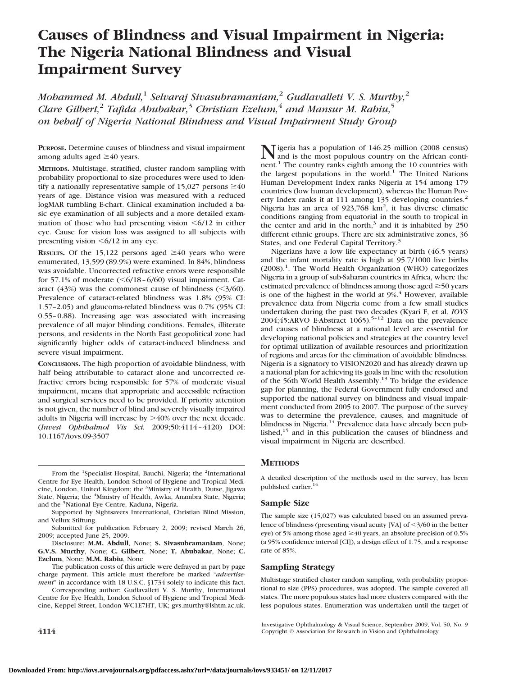# **Causes of Blindness and Visual Impairment in Nigeria: The Nigeria National Blindness and Visual Impairment Survey**

*Mohammed M. Abdull,*<sup>1</sup> *Selvaraj Sivasubramaniam,*<sup>2</sup> *Gudlavalleti V. S. Murthy,*<sup>2</sup> *Clare Gilbert,*<sup>2</sup> *Tafida Abubakar,*<sup>3</sup> *Christian Ezelum,*<sup>4</sup> *and Mansur M. Rabiu,*<sup>5</sup> *on behalf of Nigeria National Blindness and Visual Impairment Study Group*

**PURPOSE.** Determine causes of blindness and visual impairment among adults aged  $\geq 40$  years.

**METHODS.** Multistage, stratified, cluster random sampling with probability proportional to size procedures were used to identify a nationally representative sample of 15,027 persons  $\geq 40$ years of age. Distance vision was measured with a reduced logMAR tumbling E-chart. Clinical examination included a basic eye examination of all subjects and a more detailed examination of those who had presenting vision  $\leq 6/12$  in either eye. Cause for vision loss was assigned to all subjects with presenting vision  $\leq 6/12$  in any eye.

**RESULTS.** Of the 15,122 persons aged  $\geq 40$  years who were enumerated, 13,599 (89.9%) were examined. In 84%, blindness was avoidable. Uncorrected refractive errors were responsible for 57.1% of moderate  $(<\frac{6}{18} - \frac{6}{60})$  visual impairment. Cataract (43%) was the commonest cause of blindness ( $\leq$ 3/60). Prevalence of cataract-related blindness was 1.8% (95% CI: 1.57–2.05) and glaucoma-related blindness was 0.7% (95% CI: 0.55– 0.88). Increasing age was associated with increasing prevalence of all major blinding conditions. Females, illiterate persons, and residents in the North East geopolitical zone had significantly higher odds of cataract-induced blindness and severe visual impairment.

**CONCLUSIONS.** The high proportion of avoidable blindness, with half being attributable to cataract alone and uncorrected refractive errors being responsible for 57% of moderate visual impairment, means that appropriate and accessible refraction and surgical services need to be provided. If priority attention is not given, the number of blind and severely visually impaired adults in Nigeria will increase by  $>40\%$  over the next decade. (*Invest Ophthalmol Vis Sci.* 2009;50:4114 – 4120) DOI: 10.1167/iovs.09-3507

From the <sup>1</sup>Specialist Hospital, Bauchi, Nigeria; the <sup>2</sup>International Centre for Eye Health, London School of Hygiene and Tropical Medicine, London, United Kingdom; the <sup>3</sup>Ministry of Health, Dutse, Jigawa State, Nigeria; the <sup>4</sup>Ministry of Health, Awka, Anambra State, Nigeria; and the <sup>5</sup>National Eye Centre, Kaduna, Nigeria.

Supported by Sightsavers International, Christian Blind Mission, and Vellux Stiftung.

Submitted for publication February 2, 2009; revised March 26, 2009; accepted June 25, 2009.

Disclosure: **M.M. Abdull**, None; **S. Sivasubramaniam**, None; **G.V.S. Murthy**, None; **C. Gilbert**, None; **T. Abubakar**, None; **C. Ezelum**, None; **M.M. Rabiu**, None

The publication costs of this article were defrayed in part by page charge payment. This article must therefore be marked "*advertisement*" in accordance with 18 U.S.C. §1734 solely to indicate this fact.

Corresponding author: Gudlavalleti V. S. Murthy, International Centre for Eye Health, London School of Hygiene and Tropical Medicine, Keppel Street, London WC1E7HT, UK; gvs.murthy@lshtm.ac.uk.

Nigeria has a population of 146.25 million (2008 census)<br>and is the most populous country on the African continent.1 The country ranks eighth among the 10 countries with the largest populations in the world.<sup>1</sup> The United Nations Human Development Index ranks Nigeria at 154 among 179 countries (low human development), whereas the Human Poverty Index ranks it at 111 among 135 developing countries.<sup>2</sup> Nigeria has an area of 923,768 km<sup>2</sup>, it has diverse climatic conditions ranging from equatorial in the south to tropical in the center and arid in the north, $3$  and it is inhabited by 250 different ethnic groups. There are six administrative zones, 36 States, and one Federal Capital Territory.<sup>3</sup>

Nigerians have a low life expectancy at birth (46.5 years) and the infant mortality rate is high at 95.7/1000 live births (2008).<sup>1</sup>. The World Health Organization (WHO) categorizes Nigeria in a group of sub-Saharan countries in Africa, where the estimated prevalence of blindness among those aged  $\geq$  50 years is one of the highest in the world at  $9\%$ .<sup>4</sup> However, available prevalence data from Nigeria come from a few small studies undertaken during the past two decades (Kyari F, et al. *IOVS* 2004;45:ARVO E-Abstract 1065).<sup>5-12</sup> Data on the prevalence and causes of blindness at a national level are essential for developing national policies and strategies at the country level for optimal utilization of available resources and prioritization of regions and areas for the elimination of avoidable blindness. Nigeria is a signatory to VISION2020 and has already drawn up a national plan for achieving its goals in line with the resolution of the 56th World Health Assembly.<sup>13</sup> To bridge the evidence gap for planning, the Federal Government fully endorsed and supported the national survey on blindness and visual impairment conducted from 2005 to 2007. The purpose of the survey was to determine the prevalence, causes, and magnitude of blindness in Nigeria.<sup>14</sup> Prevalence data have already been published,<sup>15</sup> and in this publication the causes of blindness and visual impairment in Nigeria are described.

# **METHODS**

A detailed description of the methods used in the survey, has been published earlier.<sup>14</sup>

## **Sample Size**

The sample size (15,027) was calculated based on an assumed prevalence of blindness (presenting visual acuity [VA] of  $\leq$ 3/60 in the better eye) of 5% among those aged  $\geq$  40 years, an absolute precision of 0.5% (a 95% confidence interval [CI]), a design effect of 1.75, and a response rate of 85%.

## **Sampling Strategy**

Multistage stratified cluster random sampling, with probability proportional to size (PPS) procedures, was adopted. The sample covered all states. The more populous states had more clusters compared with the less populous states. Enumeration was undertaken until the target of

Investigative Ophthalmology & Visual Science, September 2009, Vol. 50, No. 9 **4114** Copyright © Association for Research in Vision and Ophthalmology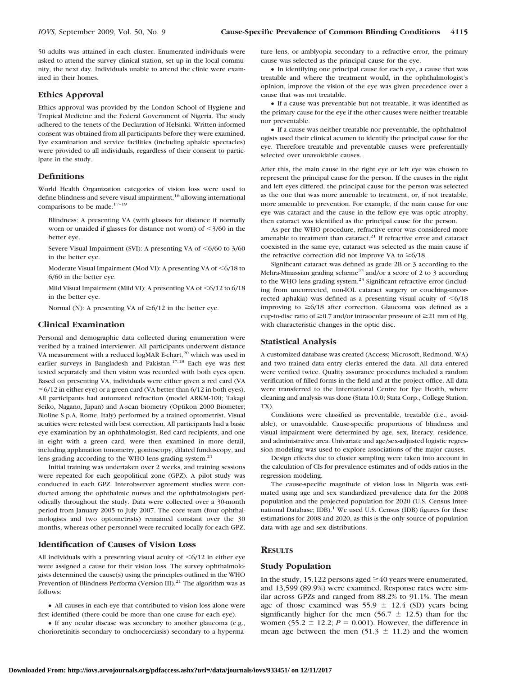50 adults was attained in each cluster. Enumerated individuals were asked to attend the survey clinical station, set up in the local community, the next day. Individuals unable to attend the clinic were examined in their homes.

## **Ethics Approval**

Ethics approval was provided by the London School of Hygiene and Tropical Medicine and the Federal Government of Nigeria. The study adhered to the tenets of the Declaration of Helsinki. Written informed consent was obtained from all participants before they were examined. Eye examination and service facilities (including aphakic spectacles) were provided to all individuals, regardless of their consent to participate in the study.

## **Definitions**

World Health Organization categories of vision loss were used to define blindness and severe visual impairment,<sup>16</sup> allowing international comparisons to be made.<sup>17-19</sup>

Blindness: A presenting VA (with glasses for distance if normally worn or unaided if glasses for distance not worn) of  $\leq$ 3/60 in the better eye.

Severe Visual Impairment (SVI): A presenting VA of  $\leq 6/60$  to 3/60 in the better eye.

Moderate Visual Impairment (Mod VI): A presenting VA of  $\leq$  6/18 to 6/60 in the better eye.

Mild Visual Impairment (Mild VI): A presenting VA of  $\leq 6/12$  to 6/18 in the better eye.

Normal (N): A presenting VA of  $\geq 6/12$  in the better eye.

## **Clinical Examination**

Personal and demographic data collected during enumeration were verified by a trained interviewer. All participants underwent distance VA measurement with a reduced logMAR E-chart, $^{20}$  which was used in earlier surveys in Bangladesh and Pakistan.<sup>17,18</sup> Each eye was first tested separately and then vision was recorded with both eyes open. Based on presenting VA, individuals were either given a red card (VA  $\leq$  6/12 in either eye) or a green card (VA better than 6/12 in both eyes). All participants had automated refraction (model ARKM-100; Takagi Seiko, Nagano, Japan) and A-scan biometry (Optikon 2000 Biometer; Bioline S.p.A, Rome, Italy) performed by a trained optometrist. Visual acuities were retested with best correction. All participants had a basic eye examination by an ophthalmologist. Red card recipients, and one in eight with a green card, were then examined in more detail, including applanation tonometry, gonioscopy, dilated funduscopy, and lens grading according to the WHO lens grading system.<sup>21</sup>

Initial training was undertaken over 2 weeks, and training sessions were repeated for each geopolitical zone (GPZ). A pilot study was conducted in each GPZ. Interobserver agreement studies were conducted among the ophthalmic nurses and the ophthalmologists periodically throughout the study. Data were collected over a 30-month period from January 2005 to July 2007. The core team (four ophthalmologists and two optometrists) remained constant over the 30 months, whereas other personnel were recruited locally for each GPZ.

### **Identification of Causes of Vision Loss**

All individuals with a presenting visual acuity of  $\leq 6/12$  in either eye were assigned a cause for their vision loss. The survey ophthalmologists determined the cause(s) using the principles outlined in the WHO Prevention of Blindness Performa (Version III).<sup>21</sup> The algorithm was as follows:

● All causes in each eye that contributed to vision loss alone were first identified (there could be more than one cause for each eye).

● If any ocular disease was secondary to another glaucoma (e.g., chorioretinitis secondary to onchocerciasis) secondary to a hypermature lens, or amblyopia secondary to a refractive error, the primary cause was selected as the principal cause for the eye.

● In identifying one principal cause for each eye, a cause that was treatable and where the treatment would, in the ophthalmologist's opinion, improve the vision of the eye was given precedence over a cause that was not treatable.

● If a cause was preventable but not treatable, it was identified as the primary cause for the eye if the other causes were neither treatable nor preventable.

● If a cause was neither treatable nor preventable, the ophthalmologists used their clinical acumen to identify the principal cause for the eye. Therefore treatable and preventable causes were preferentially selected over unavoidable causes.

After this, the main cause in the right eye or left eye was chosen to represent the principal cause for the person. If the causes in the right and left eyes differed, the principal cause for the person was selected as the one that was more amenable to treatment, or, if not treatable, more amenable to prevention. For example, if the main cause for one eye was cataract and the cause in the fellow eye was optic atrophy, then cataract was identified as the principal cause for the person.

As per the WHO procedure, refractive error was considered more amenable to treatment than cataract.<sup>21</sup> If refractive error and cataract coexisted in the same eye, cataract was selected as the main cause if the refractive correction did not improve VA to  $\geq 6/18$ .

Significant cataract was defined as grade 2B or 3 according to the Mehra-Minassian grading scheme<sup>22</sup> and/or a score of 2 to 3 according to the WHO lens grading system.<sup>23</sup> Significant refractive error (including from uncorrected, non-IOL cataract surgery or couching-uncorrected aphakia) was defined as a presenting visual acuity of  $\leq 6/18$ improving to  $\geq 6/18$  after correction. Glaucoma was defined as a cup-to-disc ratio of  $\geq$  0.7 and/or intraocular pressure of  $\geq$  21 mm of Hg, with characteristic changes in the optic disc.

#### **Statistical Analysis**

A customized database was created (Access; Microsoft, Redmond, WA) and two trained data entry clerks entered the data. All data entered were verified twice. Quality assurance procedures included a random verification of filled forms in the field and at the project office. All data were transferred to the International Centre for Eye Health, where cleaning and analysis was done (Stata 10.0; Stata Corp., College Station, TX).

Conditions were classified as preventable, treatable (i.e., avoidable), or unavoidable. Cause-specific proportions of blindness and visual impairment were determined by age, sex, literacy, residence, and administrative area. Univariate and age/sex-adjusted logistic regression modeling was used to explore associations of the major causes.

Design effects due to cluster sampling were taken into account in the calculation of CIs for prevalence estimates and of odds ratios in the regression modeling.

The cause-specific magnitude of vision loss in Nigeria was estimated using age and sex standardized prevalence data for the 2008 population and the projected population for 2020 (U.S. Census International Database; IDB). $<sup>1</sup>$  We used U.S. Census (IDB) figures for these</sup> estimations for 2008 and 2020, as this is the only source of population data with age and sex distributions.

## **RESULTS**

#### **Study Population**

In the study, 15,122 persons aged  $\geq$  40 years were enumerated, and 13,599 (89.9%) were examined. Response rates were similar across GPZs and ranged from 88.2% to 91.1%. The mean age of those examined was  $55.9 \pm 12.4$  (SD) years being significantly higher for the men  $(56.7 \pm 12.5)$  than for the women (55.2  $\pm$  12.2; *P* = 0.001). However, the difference in mean age between the men  $(51.3 \pm 11.2)$  and the women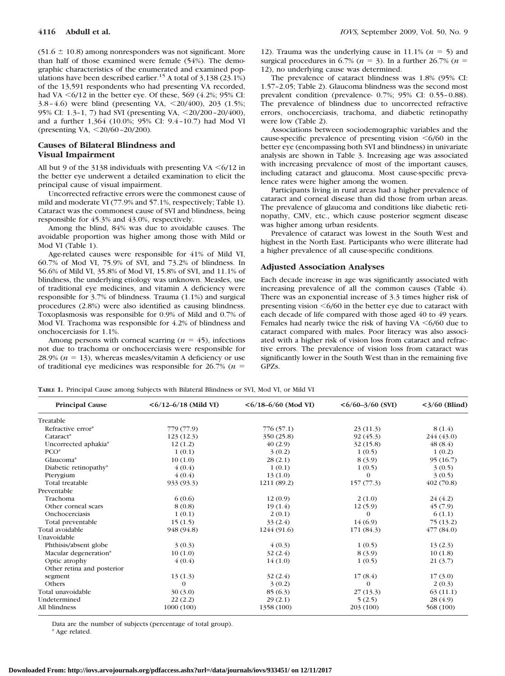$(51.6 \pm 10.8)$  among nonresponders was not significant. More than half of those examined were female (54%). The demographic characteristics of the enumerated and examined populations have been described earlier.<sup>15</sup> A total of  $3,138$  (23.1%) of the 13,591 respondents who had presenting VA recorded, had VA  $\leq 6/12$  in the better eye. Of these, 569 (4.2%; 95% CI: 3.8 – 4.6) were blind (presenting VA, 20/400), 203 (1.5%; 95% CI: 1.3–1, 7) had SVI (presenting VA, 20/200 –20/400), and a further 1,364 (10.0%; 95% CI: 9.4 –10.7) had Mod VI (presenting VA, 20/60 –20/200).

## **Causes of Bilateral Blindness and Visual Impairment**

All but 9 of the 3138 individuals with presenting VA  $\leq 6/12$  in the better eye underwent a detailed examination to elicit the principal cause of visual impairment.

Uncorrected refractive errors were the commonest cause of mild and moderate VI (77.9% and 57.1%, respectively; Table 1). Cataract was the commonest cause of SVI and blindness, being responsible for 45.3% and 43.0%, respectively.

Among the blind, 84% was due to avoidable causes. The avoidable proportion was higher among those with Mild or Mod VI (Table 1).

Age-related causes were responsible for 41% of Mild VI, 60.7% of Mod VI, 75.9% of SVI, and 73.2% of blindness. In 56.6% of Mild VI, 35.8% of Mod VI, 15.8% of SVI, and 11.1% of blindness, the underlying etiology was unknown. Measles, use of traditional eye medicines, and vitamin A deficiency were responsible for 3.7% of blindness. Trauma (1.1%) and surgical procedures (2.8%) were also identified as causing blindness. Toxoplasmosis was responsible for 0.9% of Mild and 0.7% of Mod VI. Trachoma was responsible for 4.2% of blindness and onchocerciasis for 1.1%.

Among persons with corneal scarring  $(n = 45)$ , infections not due to trachoma or onchocerciasis were responsible for 28.9% ( $n = 13$ ), whereas measles/vitamin A deficiency or use of traditional eye medicines was responsible for 26.7% (*n* 12). Trauma was the underlying cause in 11.1%  $(n = 5)$  and surgical procedures in 6.7% ( $n = 3$ ). In a further 26.7% ( $n =$ 12), no underlying cause was determined.

The prevalence of cataract blindness was 1.8% (95% CI: 1.57–2.05; Table 2). Glaucoma blindness was the second most prevalent condition (prevalence- 0.7%; 95% CI: 0.55– 0.88). The prevalence of blindness due to uncorrected refractive errors, onchocerciasis, trachoma, and diabetic retinopathy were low (Table 2).

Associations between sociodemographic variables and the cause-specific prevalence of presenting vision  $\leq 6/60$  in the better eye (encompassing both SVI and blindness) in univariate analysis are shown in Table 3. Increasing age was associated with increasing prevalence of most of the important causes, including cataract and glaucoma. Most cause-specific prevalence rates were higher among the women.

Participants living in rural areas had a higher prevalence of cataract and corneal disease than did those from urban areas. The prevalence of glaucoma and conditions like diabetic retinopathy, CMV, etc., which cause posterior segment disease was higher among urban residents.

Prevalence of cataract was lowest in the South West and highest in the North East. Participants who were illiterate had a higher prevalence of all cause-specific conditions.

## **Adjusted Association Analyses**

Each decade increase in age was significantly associated with increasing prevalence of all the common causes (Table 4). There was an exponential increase of 3.3 times higher risk of presenting vision  $\leq 6/60$  in the better eye due to cataract with each decade of life compared with those aged 40 to 49 years. Females had nearly twice the risk of having VA  $\leq 6/60$  due to cataract compared with males. Poor literacy was also associated with a higher risk of vision loss from cataract and refractive errors. The prevalence of vision loss from cataract was significantly lower in the South West than in the remaining five GPZs.

**TABLE 1.** Principal Cause among Subjects with Bilateral Blindness or SVI, Mod VI, or Mild VI

| <b>Principal Cause</b>     | $\langle 6/12 - 6/18 \ (Mild \ VI) \rangle$ | $\langle 6/18 - 6/60 \ (Mod \ VI) \rangle$ | $<6/60-3/60$ (SVI) | $<$ 3/60 (Blind) |
|----------------------------|---------------------------------------------|--------------------------------------------|--------------------|------------------|
| Treatable                  |                                             |                                            |                    |                  |
| Refractive error*          | 779 (77.9)                                  | 776 (57.1)                                 | 23(11.3)           | 8(1.4)           |
| Cataract*                  | 123(12.3)                                   | 350 (25.8)                                 | 92(45.3)           | 244 (43.0)       |
| Uncorrected aphakia*       | 12(1.2)                                     | 40(2.9)                                    | 32(15.8)           | 48(8.4)          |
| $PCO*$                     | 1(0.1)                                      | 3(0.2)                                     | 1(0.5)             | 1(0.2)           |
| Glaucoma*                  | 10(1.0)                                     | 28(2.1)                                    | 8(3.9)             | 95(16.7)         |
| Diabetic retinopathy*      | 4(0.4)                                      | 1(0.1)                                     | 1(0.5)             | 3(0.5)           |
| Pterygium                  | 4(0.4)                                      | 13(1.0)                                    | $\Omega$           | 3(0.5)           |
| Total treatable            | 933 (93.3)                                  | 1211 (89.2)                                | 157(77.3)          | 402(70.8)        |
| Preventable                |                                             |                                            |                    |                  |
| Trachoma                   | 6(0.6)                                      | 12(0.9)                                    | 2(1.0)             | 24(4.2)          |
| Other corneal scars        | 8(0.8)                                      | 19(1.4)                                    | 12(5.9)            | 45(7.9)          |
| Onchocerciasis             | 1(0.1)                                      | 2(0.1)                                     | $\Omega$           | 6(1.1)           |
| Total preventable          | 15(1.5)                                     | 33(2.4)                                    | 14(6.9)            | 75(13.2)         |
| Total avoidable            | 948 (94.8)                                  | 1244 (91.6)                                | 171 (84.3)         | 477(84.0)        |
| Unavoidable                |                                             |                                            |                    |                  |
| Phthisis/absent globe      | 3(0.3)                                      | 4(0.3)                                     | 1(0.5)             | 13(2.3)          |
| Macular degeneration*      | 10(1.0)                                     | 32(2.4)                                    | 8(3.9)             | 10(1.8)          |
| Optic atrophy              | 4(0.4)                                      | 14(1.0)                                    | 1(0.5)             | 21(3.7)          |
| Other retina and posterior |                                             |                                            |                    |                  |
| segment                    | 13(1.3)                                     | 32(2.4)                                    | 17(8.4)            | 17(3.0)          |
| Others                     | 0                                           | 3(0.2)                                     | $\mathbf{0}$       | 2(0.3)           |
| Total unavoidable          | 30(3.0)                                     | 85(6.3)                                    | 27(13.3)           | 63(11.1)         |
| Undetermined               | 22(2.2)                                     | 29(2.1)                                    | 5(2.5)             | 28(4.9)          |
| All blindness              | 1000 (100)                                  | 1358 (100)                                 | 203 (100)          | 568 (100)        |

Data are the number of subjects (percentage of total group). \* Age related.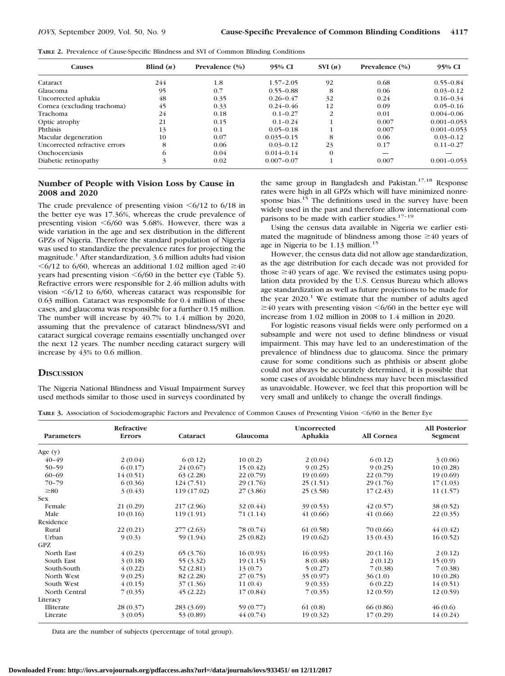| <b>TABLE 2.</b> Prevalence of Cause-Specific Blindness and SVI of Common Blinding Conditions |  |  |  |
|----------------------------------------------------------------------------------------------|--|--|--|
|----------------------------------------------------------------------------------------------|--|--|--|

| <b>Causes</b>                 | Blind $(n)$ | Prevalence $(\% )$ | 95% CI         | SWI(n)            | Prevalence (%) | 95% CI          |
|-------------------------------|-------------|--------------------|----------------|-------------------|----------------|-----------------|
| Cataract                      | 244         | 1.8                | $1.57 - 2.05$  | 92                | 0.68           | $0.55 - 0.84$   |
| Glaucoma                      | 95          | 0.7                | $0.55 - 0.88$  | 8                 | 0.06           | $0.03 - 0.12$   |
| Uncorrected aphakia           | 48          | 0.35               | $0.26 - 0.47$  | 32                | 0.24           | $0.16 - 0.34$   |
| Cornea (excluding trachoma)   | 45          | 0.33               | $0.24 - 0.46$  | 12                | 0.09           | $0.05 - 0.16$   |
| Trachoma                      | 24          | 0.18               | $0.1 - 0.27$   | $\mathbf{\Omega}$ | 0.01           | $0.004 - 0.06$  |
| Optic atrophy                 | 21          | 0.15               | $0.1 - 0.24$   |                   | 0.007          | $0.001 - 0.053$ |
| <b>Phthisis</b>               | 13          | 0.1                | $0.05 - 0.18$  |                   | 0.007          | $0.001 - 0.053$ |
| Macular degeneration          | 10          | 0.07               | $0.035 - 0.15$ | 8                 | 0.06           | $0.03 - 0.12$   |
| Uncorrected refractive errors | 8           | 0.06               | $0.03 - 0.12$  | 23                | 0.17           | $0.11 - 0.27$   |
| Onchocerciasis                | O           | 0.04               | $0.014 - 0.14$ | $\theta$          |                |                 |
| Diabetic retinopathy          | 3           | 0.02               | $0.007 - 0.07$ |                   | 0.007          | $0.001 - 0.053$ |

# **Number of People with Vision Loss by Cause in 2008 and 2020**

The crude prevalence of presenting vision  $\leq 6/12$  to 6/18 in the better eye was 17.36%, whereas the crude prevalence of presenting vision  $\leq 6/60$  was 5.68%. However, there was a wide variation in the age and sex distribution in the different GPZs of Nigeria. Therefore the standard population of Nigeria was used to standardize the prevalence rates for projecting the magnitude.1 After standardization, 3.6 million adults had vision  $\leq 6/12$  to 6/60, whereas an additional 1.02 million aged  $\geq 40$ years had presenting vision  $\leq 6/60$  in the better eye (Table 5). Refractive errors were responsible for 2.46 million adults with vision  $\leq 6/12$  to 6/60, whereas cataract was responsible for 0.63 million. Cataract was responsible for 0.4 million of these cases, and glaucoma was responsible for a further 0.15 million. The number will increase by 40.7% to 1.4 million by 2020, assuming that the prevalence of cataract blindness/SVI and cataract surgical coverage remains essentially unchanged over the next 12 years. The number needing cataract surgery will increase by 43% to 0.6 million.

## **DISCUSSION**

The Nigeria National Blindness and Visual Impairment Survey used methods similar to those used in surveys coordinated by the same group in Bangladesh and Pakistan.<sup>17,18</sup> Response rates were high in all GPZs which will have minimized nonresponse bias.<sup>15</sup> The definitions used in the survey have been widely used in the past and therefore allow international comparisons to be made with earlier studies.<sup>17-19</sup>

Using the census data available in Nigeria we earlier estimated the magnitude of blindness among those  $\geq 40$  years of age in Nigeria to be 1.13 million.<sup>15</sup>

However, the census data did not allow age standardization, as the age distribution for each decade was not provided for those  $\geq$ 40 years of age. We revised the estimates using population data provided by the U.S. Census Bureau which allows age standardization as well as future projections to be made for the year  $2020$ .<sup>1</sup> We estimate that the number of adults aged  $\geq$ 40 years with presenting vision  $\leq$ 6/60 in the better eye will increase from 1.02 million in 2008 to 1.4 million in 2020.

For logistic reasons visual fields were only performed on a subsample and were not used to define blindness or visual impairment. This may have led to an underestimation of the prevalence of blindness due to glaucoma. Since the primary cause for some conditions such as phthisis or absent globe could not always be accurately determined, it is possible that some cases of avoidable blindness may have been misclassified as unavoidable. However, we feel that this proportion will be very small and unlikely to change the overall findings.

**TABLE 3.** Association of Sociodemographic Factors and Prevalence of Common Causes of Presenting Vision  $\leq 6/60$  in the Better Eye

| <b>Parameters</b> | Refractive<br><b>Errors</b> | Cataract    | Glaucoma  | Uncorrected<br>Aphakia | All Cornea | <b>All Posterior</b><br>Segment |
|-------------------|-----------------------------|-------------|-----------|------------------------|------------|---------------------------------|
| Age $(y)$         |                             |             |           |                        |            |                                 |
| $40 - 49$         | 2(0.04)                     | 6(0.12)     | 10(0.2)   | 2(0.04)                | 6(0.12)    | 3(0.06)                         |
| $50 - 59$         | 6(0.17)                     | 24(0.67)    | 15(0.42)  | 9(0.25)                | 9(0.25)    | 10(0.28)                        |
| $60 - 69$         | 14(0.51)                    | 63(2.28)    | 22 (0.79) | 19(0.69)               | 22(0.79)   | 19(0.69)                        |
| $70 - 79$         | 6(0.36)                     | 124(7.51)   | 29(1.76)  | 25(1.51)               | 29(1.76)   | 17(1.03)                        |
| $\geq 80$         | 3(0.43)                     | 119 (17.02) | 27(3.86)  | 25(3.58)               | 17(2.43)   | 11(1.57)                        |
| <b>Sex</b>        |                             |             |           |                        |            |                                 |
| Female            | 21 (0.29)                   | 217(2.96)   | 32(0.44)  | 39(0.53)               | 42(0.57)   | 38 (0.52)                       |
| Male              | 10(0.16)                    | 119 (1.91)  | 71 (1.14) | 41(0.66)               | 41(0.66)   | 22(0.35)                        |
| Residence         |                             |             |           |                        |            |                                 |
| Rural             | 22(0.21)                    | 277(2.63)   | 78 (0.74) | 61(0.58)               | 70 (0.66)  | 44(0.42)                        |
| Urban             | 9(0.3)                      | 59 (1.94)   | 25(0.82)  | 19(0.62)               | 13(0.43)   | 16(0.52)                        |
| GPZ.              |                             |             |           |                        |            |                                 |
| North East        | 4(0.23)                     | 65 (3.76)   | 16(0.93)  | 16(0.93)               | 20(1.16)   | 2(0.12)                         |
| South East        | 3(0.18)                     | 55 (3.32)   | 19(1.15)  | 8(0.48)                | 2(0.12)    | 15(0.9)                         |
| South-South       | 4(0.22)                     | 52(2.81)    | 13(0.7)   | 5(0.27)                | 7(0.38)    | 7(0.38)                         |
| North West        | 9(0.25)                     | 82 (2.28)   | 27(0.75)  | 35 (0.97)              | 36(1.0)    | 10(0.28)                        |
| South West        | 4(0.15)                     | 37(1.36)    | 11(0.4)   | 9(0.33)                | 6(0.22)    | 14(0.51)                        |
| North Central     | 7(0.35)                     | 45(2.22)    | 17(0.84)  | 7(0.35)                | 12(0.59)   | 12(0.59)                        |
| Literacy          |                             |             |           |                        |            |                                 |
| Illiterate        | 28(0.37)                    | 283 (3.69)  | 59 (0.77) | 61(0.8)                | 66 (0.86)  | 46(0.6)                         |
| Literate          | 3(0.05)                     | 53 (0.89)   | 44(0.74)  | 19(0.32)               | 17(0.29)   | 14(0.24)                        |

Data are the number of subjects (percentage of total group).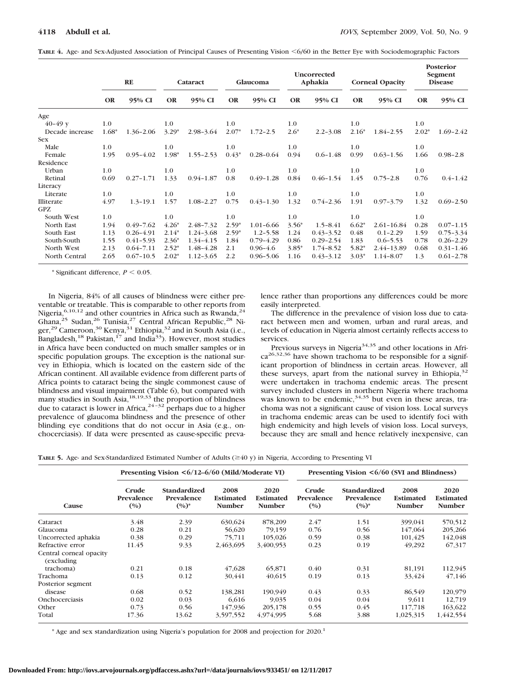|  |  | TABLE 4. Age- and Sex-Adjusted Association of Principal Causes of Presenting Vision <6/60 in the Better Eye with Sociodemographic Factors |
|--|--|-------------------------------------------------------------------------------------------------------------------------------------------|
|  |  |                                                                                                                                           |

|                 | RE        |               | Cataract  |               |           | Glaucoma      |           | Uncorrected<br>Aphakia | <b>Corneal Opacity</b> |                | Posterior<br>Segment<br><b>Disease</b> |               |
|-----------------|-----------|---------------|-----------|---------------|-----------|---------------|-----------|------------------------|------------------------|----------------|----------------------------------------|---------------|
|                 | <b>OR</b> | 95% CI        | <b>OR</b> | 95% CI        | <b>OR</b> | 95% CI        | <b>OR</b> | 95% CI                 | <b>OR</b>              | 95% CI         | <b>OR</b>                              | 95% CI        |
| Age             |           |               |           |               |           |               |           |                        |                        |                |                                        |               |
| $40 - 49$ v     | 1.0       |               | 1.0       |               | 1.0       |               | 1.0       |                        | 1.0                    |                | 1.0                                    |               |
| Decade increase | $1.68*$   | $1.36 - 2.06$ | $3.29*$   | $2.98 - 3.64$ | $2.07*$   | $1.72 - 2.5$  | $2.6*$    | $2.2 - 3.08$           | $2.16*$                | $1.84 - 2.55$  | $2.02*$                                | $1.69 - 2.42$ |
| <b>Sex</b>      |           |               |           |               |           |               |           |                        |                        |                |                                        |               |
| Male            | 1.0       |               | 1.0       |               | 1.0       |               | 1.0       |                        | 1.0                    |                | $1.0\,$                                |               |
| Female          | 1.95      | $0.95 - 4.02$ | 1.98*     | $1.55 - 2.53$ | $0.43*$   | $0.28 - 0.64$ | 0.94      | $0.6 - 1.48$           | 0.99                   | $0.63 - 1.56$  | 1.66                                   | $0.98 - 2.8$  |
| Residence       |           |               |           |               |           |               |           |                        |                        |                |                                        |               |
| Urban           | 1.0       |               | 1.0       |               | 1.0       |               | 1.0       |                        | 1.0                    |                | $1.0\,$                                |               |
| Retinal         | 0.69      | $0.27 - 1.71$ | 1.33      | $0.94 - 1.87$ | 0.8       | $0.49 - 1.28$ | 0.84      | $0.46 - 1.54$          | 1.45                   | $0.75 - 2.8$   | 0.76                                   | $0.4 - 1.42$  |
| Literacy        |           |               |           |               |           |               |           |                        |                        |                |                                        |               |
| Literate        | 1.0       |               | 1.0       |               | 1.0       |               | 1.0       |                        | 1.0                    |                | $1.0\,$                                |               |
| Illiterate      | 4.97      | $1.3 - 19.1$  | 1.57      | 1.08-2.27     | 0.75      | $0.43 - 1.30$ | 1.32      | $0.74 - 2.36$          | 1.91                   | $0.97 - 3.79$  | 1.32                                   | $0.69 - 2.50$ |
| GPZ.            |           |               |           |               |           |               |           |                        |                        |                |                                        |               |
| South West      | 1.0       |               | 1.0       |               | 1.0       |               | 1.0       |                        | 1.0                    |                | $1.0\,$                                |               |
| North East      | 1.94      | $0.49 - 7.62$ | $4.26*$   | $2.48 - 7.32$ | $2.59*$   | $1.01 - 6.66$ | $3.56*$   | $1.5 - 8.41$           | $6.62*$                | $2.61 - 16.84$ | 0.28                                   | $0.07 - 1.15$ |
| South East      | 1.13      | $0.26 - 4.91$ | $2.14*$   | $1.24 - 3.68$ | $2.59*$   | $1.2 - 5.58$  | 1.24      | $0.43 - 3.52$          | 0.48                   | $0.1 - 2.29$   | 1.59                                   | $0.75 - 3.34$ |
| South-South     | 1.55      | $0.41 - 5.93$ | $2.36*$   | $1.34 - 4.15$ | 1.84      | $0.79 - 4.29$ | 0.86      | $0.29 - 2.54$          | 1.83                   | $0.6 - 5.53$   | 0.78                                   | $0.26 - 2.29$ |
| North West      | 2.13      | $0.64 - 7.11$ | $2.52*$   | $1.48 - 4.28$ | 2.1       | $0.96 - 4.6$  | $3.85*$   | 1.74-8.52              | $5.82*$                | 2.44-13.89     | 0.68                                   | $0.31 - 1.46$ |
| North Central   | 2.65      | $0.67 - 10.5$ | $2.02*$   | $1.12 - 3.65$ | 2.2       | $0.96 - 5.06$ | 1.16      | $0.43 - 3.12$          | $3.03*$                | 1.14-8.07      | 1.3                                    | $0.61 - 2.78$ |

\* Significant difference,  $P < 0.05$ .

In Nigeria, 84% of all causes of blindness were either preventable or treatable. This is comparable to other reports from Nigeria,<sup>6,10,12</sup> and other countries in Africa such as Rwanda,<sup>24</sup> Ghana,<sup>25</sup> Sudan,<sup>26</sup> Tunisia,<sup>27</sup> Central African Republic,<sup>28</sup> Niger,<sup>29</sup> Cameroon,<sup>30</sup> Kenya,<sup>31</sup> Ethiopia,<sup>32</sup> and in South Asia (i.e., Bangladesh,<sup>18</sup> Pakistan,<sup>17</sup> and India<sup>33</sup>). However, most studies in Africa have been conducted on much smaller samples or in specific population groups. The exception is the national survey in Ethiopia, which is located on the eastern side of the African continent. All available evidence from different parts of Africa points to cataract being the single commonest cause of blindness and visual impairment (Table 6), but compared with many studies in South Asia,  $18,19,33$  the proportion of blindness due to cataract is lower in Africa, $2^{4-32}$  perhaps due to a higher prevalence of glaucoma blindness and the presence of other blinding eye conditions that do not occur in Asia (e.g., onchocerciasis). If data were presented as cause-specific prevalence rather than proportions any differences could be more easily interpreted.

The difference in the prevalence of vision loss due to cataract between men and women, urban and rural areas, and levels of education in Nigeria almost certainly reflects access to services.

Previous surveys in Nigeria<sup>34,35</sup> and other locations in Afri $ca^{26,32,36}$  have shown trachoma to be responsible for a significant proportion of blindness in certain areas. However, all these surveys, apart from the national survey in Ethiopia, $32$ were undertaken in trachoma endemic areas. The present survey included clusters in northern Nigeria where trachoma was known to be endemic,  $34,35$  but even in these areas, trachoma was not a significant cause of vision loss. Local surveys in trachoma endemic areas can be used to identify foci with high endemicity and high levels of vision loss. Local surveys, because they are small and hence relatively inexpensive, can

| <b>TABLE 5.</b> Age- and Sex-Standardized Estimated Number of Adults ( $\geq$ 40 y) in Nigeria, According to Presenting VI |  |  |  |  |
|----------------------------------------------------------------------------------------------------------------------------|--|--|--|--|
|----------------------------------------------------------------------------------------------------------------------------|--|--|--|--|

| Cause                                 |                              | Presenting Vision <6/12-6/60 (Mild/Moderate VI) |                                           |                                           | Presenting Vision $\lt6/60$ (SVI and Blindness) |                                               |                                           |                                    |  |
|---------------------------------------|------------------------------|-------------------------------------------------|-------------------------------------------|-------------------------------------------|-------------------------------------------------|-----------------------------------------------|-------------------------------------------|------------------------------------|--|
|                                       | Crude<br>Prevalence<br>(0/0) | <b>Standardized</b><br>Prevalence<br>$(0/0)*$   | 2008<br><b>Estimated</b><br><b>Number</b> | 2020<br><b>Estimated</b><br><b>Number</b> | Crude<br>Prevalence<br>(0/0)                    | <b>Standardized</b><br>Prevalence<br>$(0/0)*$ | 2008<br><b>Estimated</b><br><b>Number</b> | 2020<br>Estimated<br><b>Number</b> |  |
| Cataract                              | 3.48                         | 2.39                                            | 630.624                                   | 878,209                                   | 2.47                                            | 1.51                                          | 399,041                                   | 570,512                            |  |
| Glaucoma                              | 0.28                         | 0.21                                            | 56.620                                    | 79,159                                    | 0.76                                            | 0.56                                          | 147,064                                   | 205,266                            |  |
| Uncorrected aphakia                   | 0.38                         | 0.29                                            | 75.711                                    | 105.026                                   | 0.59                                            | 0.38                                          | 101.425                                   | 142,048                            |  |
| Refractive error                      | 11.45                        | 9.33                                            | 2,463,695                                 | 3,400,953                                 | 0.23                                            | 0.19                                          | 49,292                                    | 67,317                             |  |
| Central corneal opacity<br>(excluding |                              |                                                 |                                           |                                           |                                                 |                                               |                                           |                                    |  |
| trachoma)                             | 0.21                         | 0.18                                            | 47,628                                    | 65.871                                    | 0.40                                            | 0.31                                          | 81,191                                    | 112,945                            |  |
| Trachoma                              | 0.13                         | 0.12                                            | 30,441                                    | 40.615                                    | 0.19                                            | 0.13                                          | 33,424                                    | 47,146                             |  |
| Posterior segment                     |                              |                                                 |                                           |                                           |                                                 |                                               |                                           |                                    |  |
| disease                               | 0.68                         | 0.52                                            | 138.281                                   | 190,949                                   | 0.43                                            | 0.33                                          | 86.549                                    | 120,979                            |  |
| Onchocerciasis                        | 0.02                         | 0.03                                            | 6.616                                     | 9.035                                     | 0.04                                            | 0.04                                          | 9.611                                     | 12,719                             |  |
| Other                                 | 0.73                         | 0.56                                            | 147,936                                   | 205,178                                   | 0.55                                            | 0.45                                          | 117,718                                   | 163,622                            |  |
| Total                                 | 17.36                        | 13.62                                           | 3,597,552                                 | 4,974,995                                 | 5.68                                            | 3.88                                          | 1,025,315                                 | 1,442,554                          |  |

\* Age and sex standardization using Nigeria's population for 2008 and projection for 2020.1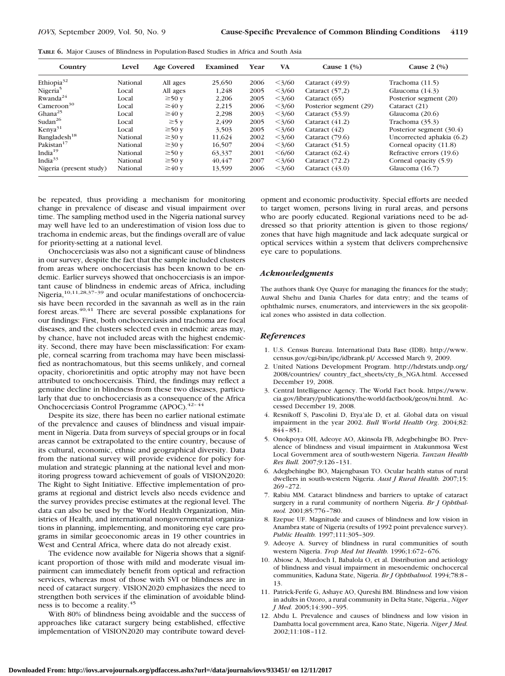| TABLE 6. Major Causes of Blindness in Population-Based Studies in Africa and South Asia |  |
|-----------------------------------------------------------------------------------------|--|
|-----------------------------------------------------------------------------------------|--|

| Country                  | Level    | Age Covered         | <b>Examined</b> | Year | <b>VA</b>       | Cause $1 \left( \% \right)$ | Cause $2 \left( \frac{0}{0} \right)$ |
|--------------------------|----------|---------------------|-----------------|------|-----------------|-----------------------------|--------------------------------------|
| Ethiopia <sup>32</sup>   | National | All ages            | 25,650          | 2006 | $<\frac{3}{60}$ | Cataract (49.9)             | Trachoma (11.5)                      |
| Nigeria <sup>5</sup>     | Local    | All ages            | 1.248           | 2005 | $<\frac{3}{60}$ | Cataract $(57,2)$           | Glaucoma (14.3)                      |
| Rwanda <sup>24</sup>     | Local    | $\geq 50$ y         | 2,206           | 2005 | $<\frac{3}{60}$ | Cataract (65)               | Posterior segment (20)               |
| Cameroon <sup>30</sup>   | Local    | $\geq 40 \text{ y}$ | 2.215           | 2006 | $<\frac{3}{60}$ | Posterior segment (29)      | Cataract (21)                        |
| Ghana $25$               | Local    | $\geq 40 \text{ y}$ | 2,298           | 2003 | $<\frac{3}{60}$ | Cataract (53.9)             | Glaucoma (20.6)                      |
| Sudan $26$               | Local    | $\geq$ 5 v          | 2,499           | 2005 | $<\frac{3}{60}$ | Cataract $(41.2)$           | Trachoma (35.3)                      |
| $Kenya^{31}$             | Local    | $\geq 50$ y         | 3.503           | 2005 | $<\frac{3}{60}$ | Cataract $(42)$             | Posterior segment $(30.4)$           |
| Bangladesh <sup>18</sup> | National | $\geq 30$ y         | 11.624          | 2002 | $<\frac{3}{60}$ | Cataract (79.6)             | Uncorrected aphakia (6.2)            |
| Pakistan <sup>17</sup>   | National | $\geq 30$ y         | 16,507          | 2004 | $<\frac{3}{60}$ | Cataract (51.5)             | Corneal opacity (11.8)               |
| India $19$               | National | $\geq 50$ y         | 63,337          | 2001 | $<\frac{6}{60}$ | Cataract $(62.4)$           | Refractive errors (19.6)             |
| Indi $a^{33}$            | National | $\geq 50$ y         | 40.447          | 2007 | $<\frac{3}{60}$ | Cataract (72.2)             | Corneal opacity (5.9)                |
| Nigeria (present study)  | National | $\geq 40$ y         | 13.599          | 2006 | $<\frac{3}{60}$ | Cataract $(43.0)$           | Glaucoma (16.7)                      |

be repeated, thus providing a mechanism for monitoring change in prevalence of disease and visual impairment over time. The sampling method used in the Nigeria national survey may well have led to an underestimation of vision loss due to trachoma in endemic areas, but the findings overall are of value for priority-setting at a national level.

Onchocerciasis was also not a significant cause of blindness in our survey, despite the fact that the sample included clusters from areas where onchocerciasis has been known to be endemic. Earlier surveys showed that onchocerciasis is an important cause of blindness in endemic areas of Africa, including Nigeria,<sup>10,11,28,37-39</sup> and ocular manifestations of onchocerciasis have been recorded in the savannah as well as in the rain forest areas.40,41 There are several possible explanations for our findings: First, both onchocerciasis and trachoma are focal diseases, and the clusters selected even in endemic areas may, by chance, have not included areas with the highest endemicity. Second, there may have been misclassification: For example, corneal scarring from trachoma may have been misclassified as nontrachomatous, but this seems unlikely, and corneal opacity, chorioretinitis and optic atrophy may not have been attributed to onchocercaisis. Third, the findings may reflect a genuine decline in blindness from these two diseases, particularly that due to onchocerciasis as a consequence of the Africa Onchocerciasis Control Programme (APOC).<sup>42-44</sup>

Despite its size, there has been no earlier national estimate of the prevalence and causes of blindness and visual impairment in Nigeria. Data from surveys of special groups or in focal areas cannot be extrapolated to the entire country, because of its cultural, economic, ethnic and geographical diversity. Data from the national survey will provide evidence for policy formulation and strategic planning at the national level and monitoring progress toward achievement of goals of VISION2020: The Right to Sight Initiative. Effective implementation of programs at regional and district levels also needs evidence and the survey provides precise estimates at the regional level. The data can also be used by the World Health Organization, Ministries of Health, and international nongovernmental organizations in planning, implementing, and monitoring eye care programs in similar geoeconomic areas in 19 other countries in West and Central Africa, where data do not already exist.

The evidence now available for Nigeria shows that a significant proportion of those with mild and moderate visual impairment can immediately benefit from optical and refraction services, whereas most of those with SVI or blindness are in need of cataract surgery. VISION2020 emphasizes the need to strengthen both services if the elimination of avoidable blindness is to become a reality.<sup>45</sup>

With 80% of blindness being avoidable and the success of approaches like cataract surgery being established, effective implementation of VISION2020 may contribute toward development and economic productivity. Special efforts are needed to target women, persons living in rural areas, and persons who are poorly educated. Regional variations need to be addressed so that priority attention is given to those regions/ zones that have high magnitude and lack adequate surgical or optical services within a system that delivers comprehensive eye care to populations.

#### *Acknowledgments*

The authors thank Oye Quaye for managing the finances for the study; Auwal Shehu and Dania Charles for data entry; and the teams of ophthalmic nurses, enumerators, and interviewers in the six geopolitical zones who assisted in data collection.

#### *References*

- 1. U.S. Census Bureau. International Data Base (IDB). http://www. census.gov/cgi-bin/ipc/idbrank.pl/ Accessed March 9, 2009.
- 2. United Nations Development Program. http://hdrstats.undp.org/ 2008/countries/ country\_fact\_sheets/cty\_fs\_NGA.html. Accessed December 19, 2008.
- 3. Central Intelligence Agency. The World Fact book. https://www. cia.gov/library/publications/the-world-factbook/geos/ni.html. Accessed December 19, 2008.
- 4. Resnikoff S, Pascolini D, Etya'ale D, et al. Global data on visual impairment in the year 2002. *Bull World Health Org*. 2004;82: 844 – 851.
- 5. Onokpoya OH, Adeoye AO, Akinsola FB, Adegbehingbe BO. Prevalence of blindness and visual impairment in Atakunmosa West Local Government area of south-western Nigeria. *Tanzan Health Res Bull.* 2007;9:126 –131.
- 6. Adegbehingbe BO, Majengbasan TO. Ocular health status of rural dwellers in south-western Nigeria. *Aust J Rural Health.* 2007;15: 269 –272.
- 7. Rabiu MM. Cataract blindness and barriers to uptake of cataract surgery in a rural community of northern Nigeria. *Br J Ophthalmol.* 2001;85:776 –780.
- 8. Ezepue UF. Magnitude and causes of blindness and low vision in Anambra state of Nigeria (results of 1992 point prevalence survey). *Public Health.* 1997;111:305–309.
- 9. Adeoye A. Survey of blindness in rural communities of south western Nigeria. *Trop Med Int Health.* 1996;1:672– 676.
- 10. Abiose A, Murdoch I, Babalola O, et al. Distribution and aetiology of blindness and visual impairment in mesoendemic onchocercal communities, Kaduna State, Nigeria. *Br J Ophthalmol.* 1994;78:8 – 13.
- 11. Patrick-Ferife G, Ashaye AO, Qureshi BM. Blindness and low vision in adults in Ozoro, a rural community in Delta State, Nigeria., *Niger J Med.* 2005;14:390 –395.
- 12. Abdu L. Prevalence and causes of blindness and low vision in Dambatta local government area, Kano State, Nigeria. *Niger J Med.* 2002;11:108 –112.